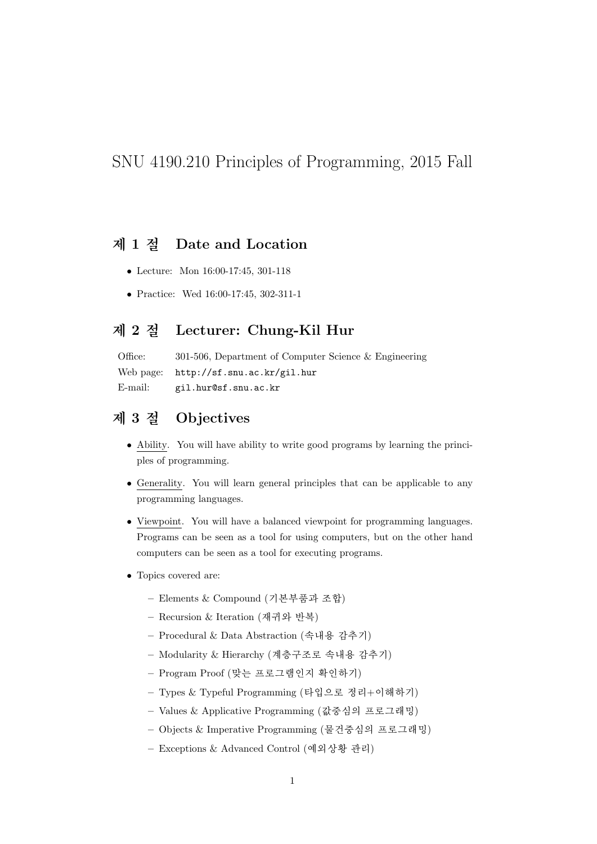## SNU 4190.210 Principles of Programming, 2015 Fall

#### 제 1 절 Date and Location

- Lecture: Mon  $16:00-17:45$ , 301-118
- Practice: Wed  $16:00-17:45$ ,  $302-311-1$

#### 제 2 절 Lecturer: Chung-Kil Hur

Office: 301-506, Department of Computer Science  $\&$  Engineering Web page: http://sf.snu.ac.kr/gil.hur E-mail: gil.hur@sf.snu.ac.kr

## Objectives 제 3 절

- Ability. You will have ability to write good programs by learning the principles of programming.
- Generality. You will learn general principles that can be applicable to any programming languages.
- Viewpoint. You will have a balanced viewpoint for programming languages. Programs can be seen as a tool for using computers, but on the other hand computers can be seen as a tool for executing programs.
- Topics covered are:
	- Elements & Compound (기본부품과 조합)
	- Recursion & Iteration (재귀와 반복)
	- Procedural & Data Abstraction (속내용 감추기)
	- Modularity & Hierarchy (계층구조로 속내용 감추기)
	- Program Proof (맞는 프로그램인지 확인하기)
	- Types & Typeful Programming (타입으로 정리+이해하기)
	- Values & Applicative Programming (값중심의 프로그래밍)
	- Objects & Imperative Programming (물건중심의 프로그래밍)
	- Exceptions & Advanced Control (예외상황 관리)